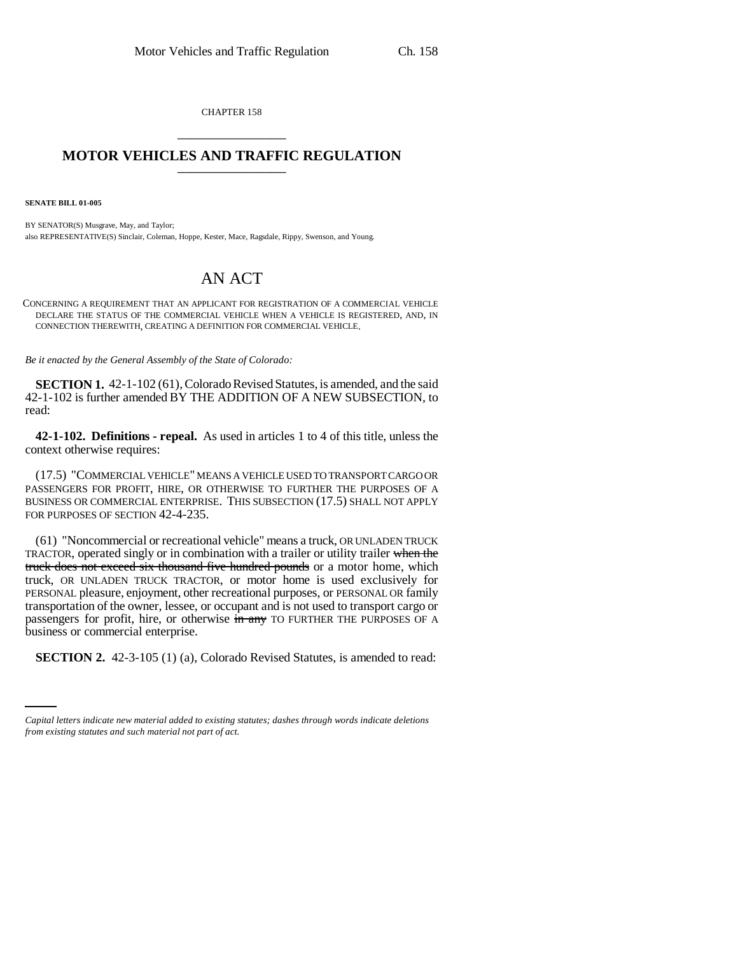CHAPTER 158 \_\_\_\_\_\_\_\_\_\_\_\_\_\_\_

## **MOTOR VEHICLES AND TRAFFIC REGULATION**

**SENATE BILL 01-005**

BY SENATOR(S) Musgrave, May, and Taylor; also REPRESENTATIVE(S) Sinclair, Coleman, Hoppe, Kester, Mace, Ragsdale, Rippy, Swenson, and Young.

## AN ACT

CONCERNING A REQUIREMENT THAT AN APPLICANT FOR REGISTRATION OF A COMMERCIAL VEHICLE DECLARE THE STATUS OF THE COMMERCIAL VEHICLE WHEN A VEHICLE IS REGISTERED, AND, IN CONNECTION THEREWITH, CREATING A DEFINITION FOR COMMERCIAL VEHICLE.

*Be it enacted by the General Assembly of the State of Colorado:*

**SECTION 1.** 42-1-102 (61), Colorado Revised Statutes, is amended, and the said 42-1-102 is further amended BY THE ADDITION OF A NEW SUBSECTION, to read:

**42-1-102. Definitions - repeal.** As used in articles 1 to 4 of this title, unless the context otherwise requires:

(17.5) "COMMERCIAL VEHICLE" MEANS A VEHICLE USED TO TRANSPORT CARGO OR PASSENGERS FOR PROFIT, HIRE, OR OTHERWISE TO FURTHER THE PURPOSES OF A BUSINESS OR COMMERCIAL ENTERPRISE. THIS SUBSECTION (17.5) SHALL NOT APPLY FOR PURPOSES OF SECTION 42-4-235.

(61) "Noncommercial or recreational vehicle" means a truck, OR UNLADEN TRUCK TRACTOR, operated singly or in combination with a trailer or utility trailer when the truck does not exceed six thousand five hundred pounds or a motor home, which truck, OR UNLADEN TRUCK TRACTOR, or motor home is used exclusively for PERSONAL pleasure, enjoyment, other recreational purposes, or PERSONAL OR family transportation of the owner, lessee, or occupant and is not used to transport cargo or passengers for profit, hire, or otherwise in any TO FURTHER THE PURPOSES OF A business or commercial enterprise.

**SECTION 2.** 42-3-105 (1) (a), Colorado Revised Statutes, is amended to read:

*Capital letters indicate new material added to existing statutes; dashes through words indicate deletions from existing statutes and such material not part of act.*